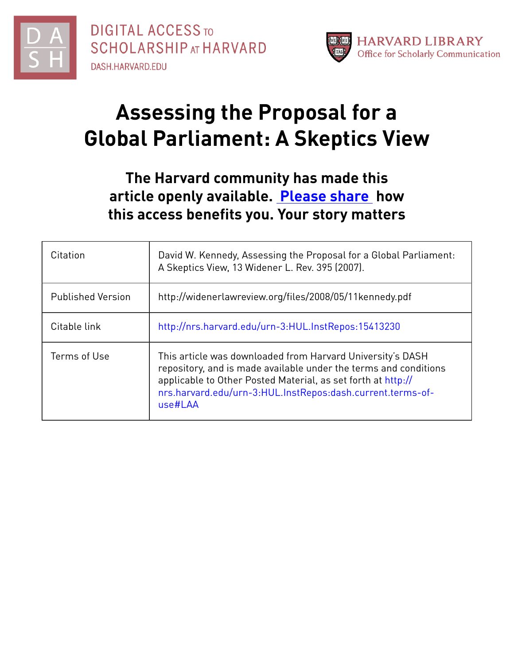



# **Assessing the Proposal for a Global Parliament: A Skeptics View**

# **The Harvard community has made this article openly available. [Please](http://osc.hul.harvard.edu/dash/open-access-feedback?handle=&title=Assessing%20the%20Proposal%20for%20a%20Global%20Parliament:%20A%20Skeptics%20View&community=1/7&collection=1/8&owningCollection1/8&harvardAuthors=48fb8415a3071b3e5861521980e77caf&department) share how this access benefits you. Your story matters**

| Citation                 | David W. Kennedy, Assessing the Proposal for a Global Parliament:<br>A Skeptics View, 13 Widener L. Rev. 395 (2007).                                                                                                                                                    |
|--------------------------|-------------------------------------------------------------------------------------------------------------------------------------------------------------------------------------------------------------------------------------------------------------------------|
| <b>Published Version</b> | http://widenerlawreview.org/files/2008/05/11kennedy.pdf                                                                                                                                                                                                                 |
| Citable link             | http://nrs.harvard.edu/urn-3:HUL.InstRepos:15413230                                                                                                                                                                                                                     |
| Terms of Use             | This article was downloaded from Harvard University's DASH<br>repository, and is made available under the terms and conditions<br>applicable to Other Posted Material, as set forth at http://<br>nrs.harvard.edu/urn-3:HUL.InstRepos:dash.current.terms-of-<br>use#LAA |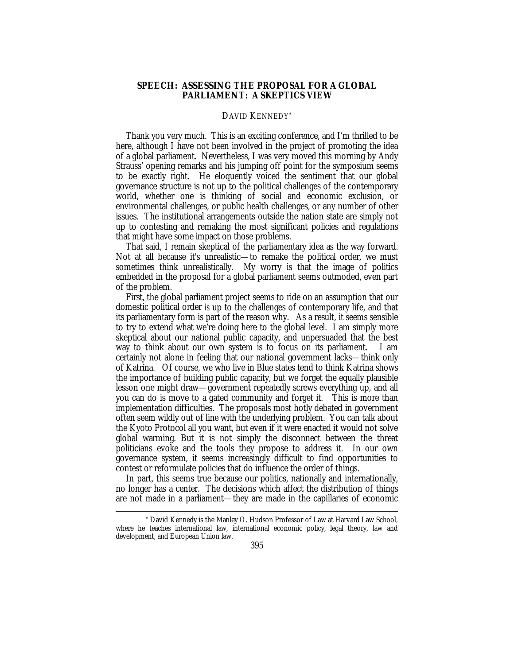## **SPEECH: ASSESSING THE PROPOSAL FOR A GLOBAL PARLIAMENT: A SKEPTICS VIEW**

### DAVID KENNEDY\*

Thank you very much. This is an exciting conference, and I'm thrilled to be here, although I have not been involved in the project of promoting the idea of a global parliament. Nevertheless, I was very moved this morning by Andy Strauss' opening remarks and his jumping off point for the symposium seems to be exactly right. He eloquently voiced the sentiment that our global governance structure is not up to the political challenges of the contemporary world, whether one is thinking of social and economic exclusion, or environmental challenges, or public health challenges, or any number of other issues. The institutional arrangements outside the nation state are simply not up to contesting and remaking the most significant policies and regulations that might have some impact on those problems.

That said, I remain skeptical of the parliamentary idea as the way forward. Not at all because it's unrealistic—to remake the political order, we must sometimes think unrealistically. My worry is that the image of politics embedded in the proposal for a global parliament seems outmoded, even part of the problem.

First, the global parliament project seems to ride on an assumption that our domestic political order *is* up to the challenges of contemporary life, and that its parliamentary form is part of the reason why. As a result, it seems sensible to try to extend what we're doing here to the global level. I am simply more skeptical about our national public capacity, and unpersuaded that the best way to think about our own system is to focus on its parliament. I am certainly not alone in feeling that our national government lacks—think only of Katrina. Of course, we who live in Blue states tend to think Katrina shows the importance of building public capacity, but we forget the equally plausible lesson one might draw—government repeatedly screws everything up, and all you can do is move to a gated community and forget it. This is more than implementation difficulties. The proposals most hotly debated in government often seem wildly out of line with the underlying problem. You can talk about the Kyoto Protocol all you want, but even if it were enacted it would not solve global warming. But it is not simply the disconnect between the threat politicians evoke and the tools they propose to address it. In our own governance system, it seems increasingly difficult to find opportunities to contest or reformulate policies that do influence the order of things.

In part, this seems true because our politics, nationally and internationally, no longer has a center. The decisions which affect the distribution of things are not made in a parliament—they are made in the capillaries of economic

 <sup>\*</sup> David Kennedy is the Manley O. Hudson Professor of Law at Harvard Law School, where he teaches international law, international economic policy, legal theory, law and development, and European Union law.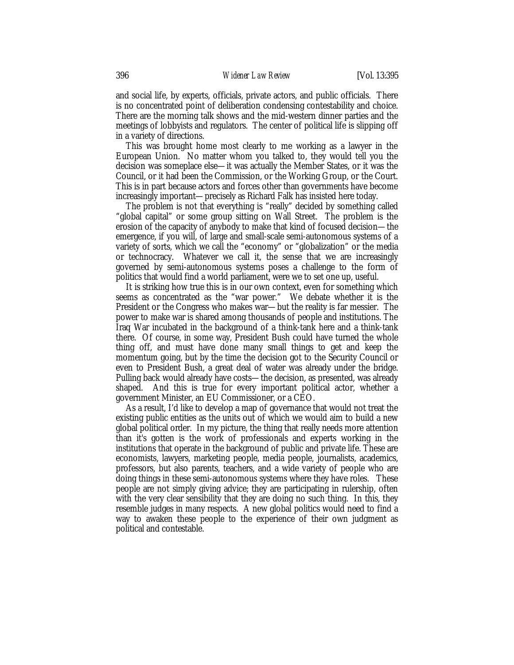and social life, by experts, officials, private actors, and public officials. There is no concentrated point of deliberation condensing contestability and choice. There are the morning talk shows and the mid-western dinner parties and the meetings of lobbyists and regulators. The center of political life is slipping off in a variety of directions.

This was brought home most clearly to me working as a lawyer in the European Union. No matter whom you talked to, they would tell you the decision was someplace else—it was actually the Member States, or it was the Council, or it had been the Commission, or the Working Group, or the Court. This is in part because actors and forces other than governments have become increasingly important—precisely as Richard Falk has insisted here today.

The problem is not that everything is "really" decided by something called "global capital" or some group sitting on Wall Street. The problem is the erosion of the capacity of anybody to make that kind of focused decision—the emergence, if you will, of large and small-scale semi-autonomous systems of a variety of sorts, which we call the "economy" or "globalization" or the media or technocracy. Whatever we call it, the sense that we are increasingly governed by semi-autonomous systems poses a challenge to the form of politics that would find a world parliament, were we to set one up, useful.

It is striking how true this is in our own context, even for something which seems as concentrated as the "war power." We debate whether it is the President or the Congress who makes war—but the reality is far messier. The power to make war is shared among thousands of people and institutions. The Iraq War incubated in the background of a think-tank here and a think-tank there. Of course, in some way, President Bush could have turned the whole thing off, and must have done many small things to get and keep the momentum going, but by the time the decision got to the Security Council or even to President Bush, a great deal of water was already under the bridge. Pulling back would already have costs—the decision, as presented, was already shaped. And this is true for every important political actor, whether a government Minister, an EU Commissioner, or a CEO.

As a result, I'd like to develop a map of governance that would not treat the existing public entities as the units out of which we would aim to build a new global political order. In my picture, the thing that really needs more attention than it's gotten is the work of professionals and experts working in the institutions that operate in the background of public and private life. These are economists, lawyers, marketing people, media people, journalists, academics, professors, but also parents, teachers, and a wide variety of people who are doing things in these semi-autonomous systems where they have roles. These people are not simply giving advice; they are participating in rulership, often with the very clear sensibility that they are doing no such thing. In this, they resemble judges in many respects. A new global politics would need to find a way to awaken these people to the experience of their own judgment as political and contestable.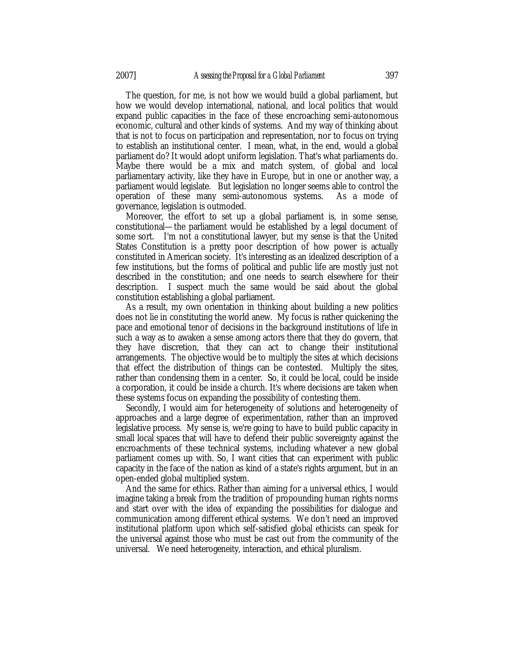The question, for me, is not how we would build a global parliament, but how we would develop international, national, and local politics that would expand public capacities in the face of these encroaching semi-autonomous economic, cultural and other kinds of systems. And my way of thinking about that is not to focus on participation and representation, nor to focus on trying to establish an institutional center. I mean, what, in the end, would a global parliament do? It would adopt uniform legislation. That's what parliaments do. Maybe there would be a mix and match system, of global and local parliamentary activity, like they have in Europe, but in one or another way, a parliament would legislate. But legislation no longer seems able to control the operation of these many semi-autonomous systems. As a mode of governance, legislation is outmoded.

Moreover, the effort to set up a global parliament is, in some sense, constitutional—the parliament would be established by a legal document of some sort. I'm not a constitutional lawyer, but my sense is that the United States Constitution is a pretty poor description of how power is actually constituted in American society. It's interesting as an idealized description of a few institutions, but the forms of political and public life are mostly just not described in the constitution; and one needs to search elsewhere for their description. I suspect much the same would be said about the global constitution establishing a global parliament.

As a result, my own orientation in thinking about building a new politics does not lie in constituting the world anew. My focus is rather quickening the pace and emotional tenor of decisions in the background institutions of life in such a way as to awaken a sense among actors there that they do govern, that they have discretion, that they can act to change their institutional arrangements. The objective would be to multiply the sites at which decisions that effect the distribution of things can be contested. Multiply the sites, rather than condensing them in a center. So, it could be local, could be inside a corporation, it could be inside a church. It's where decisions are taken when these systems focus on expanding the possibility of contesting them.

Secondly, I would aim for heterogeneity of solutions and heterogeneity of approaches and a large degree of experimentation, rather than an improved legislative process. My sense is, we're going to have to build public capacity in small local spaces that will have to defend their public sovereignty against the encroachments of these technical systems, including whatever a new global parliament comes up with. So, I want cities that can experiment with public capacity in the face of the nation as kind of a state's rights argument, but in an open-ended global multiplied system.

And the same for ethics. Rather than aiming for a universal ethics, I would imagine taking a break from the tradition of propounding human rights norms and start over with the idea of expanding the possibilities for dialogue and communication among different ethical systems. We don't need an improved institutional platform upon which self-satisfied global ethicists can speak for the universal against those who must be cast out from the community of the universal. We need heterogeneity, interaction, and ethical pluralism.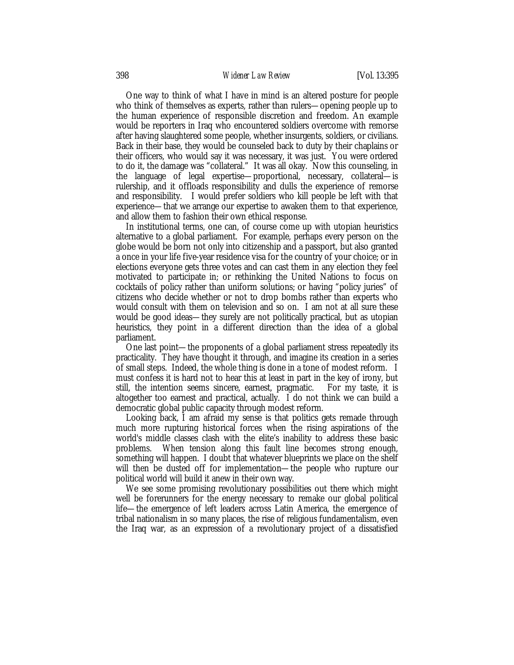#### 398 *Widener Law Review* [Vol. 13:395

One way to think of what I have in mind is an altered posture for people who think of themselves as experts, rather than rulers—opening people up to the human experience of responsible discretion and freedom. An example would be reporters in Iraq who encountered soldiers overcome with remorse after having slaughtered some people, whether insurgents, soldiers, or civilians. Back in their base, they would be counseled back to duty by their chaplains or their officers, who would say it was necessary, it was just. You were ordered to do it, the damage was "collateral." It was all okay. Now this counseling, in the language of legal expertise—proportional, necessary, collateral—is rulership, and it offloads responsibility and dulls the experience of remorse and responsibility. I would prefer soldiers who kill people be left with that experience—that we arrange our expertise to awaken them to that experience, and allow them to fashion their own ethical response.

In institutional terms, one can, of course come up with utopian heuristics alternative to a global parliament. For example, perhaps every person on the globe would be born not only into citizenship and a passport, but also granted a once in your life five-year residence visa for the country of your choice; or in elections everyone gets three votes and can cast them in any election they feel motivated to participate in; or rethinking the United Nations to focus on cocktails of policy rather than uniform solutions; or having "policy juries" of citizens who decide whether or not to drop bombs rather than experts who would consult with them on television and so on. I am not at all sure these would be good ideas—they surely are not politically practical, but as utopian heuristics, they point in a different direction than the idea of a global parliament.

One last point—the proponents of a global parliament stress repeatedly its practicality. They have thought it through, and imagine its creation in a series of small steps. Indeed, the whole thing is done in a tone of modest reform. I must confess it is hard not to hear this at least in part in the key of irony, but still, the intention seems sincere, earnest, pragmatic. For my taste, it is altogether too earnest and practical, actually. I do not think we can build a democratic global public capacity through modest reform.

Looking back, I am afraid my sense is that politics gets remade through much more rupturing historical forces when the rising aspirations of the world's middle classes clash with the elite's inability to address these basic problems. When tension along this fault line becomes strong enough, something will happen. I doubt that whatever blueprints we place on the shelf will then be dusted off for implementation—the people who rupture our political world will build it anew in their own way.

We see some promising revolutionary possibilities out there which might well be forerunners for the energy necessary to remake our global political life—the emergence of left leaders across Latin America, the emergence of tribal nationalism in so many places, the rise of religious fundamentalism, even the Iraq war, as an expression of a revolutionary project of a dissatisfied